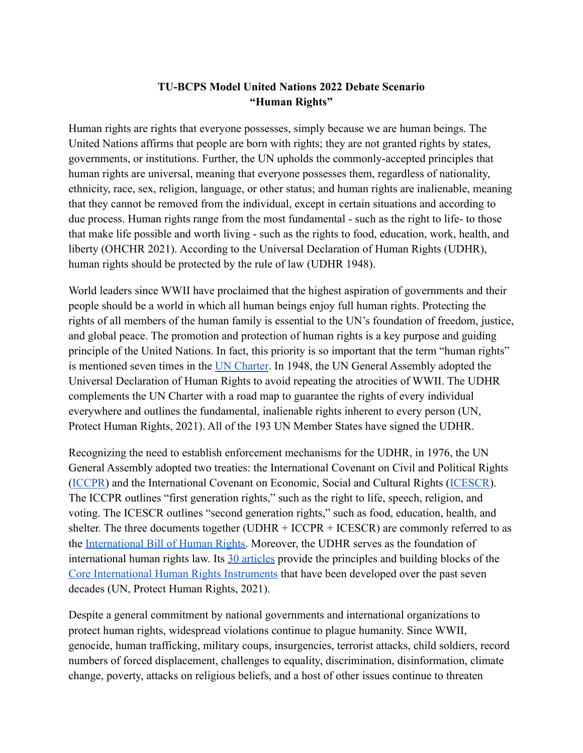## **TU-BCPS Model United Nations 2022 Debate Scenario "Human Rights"**

Human rights are rights that everyone possesses, simply because we are human beings. The United Nations affirms that people are born with rights; they are not granted rights by states, governments, or institutions. Further, the UN upholds the commonly-accepted principles that human rights are universal, meaning that everyone possesses them, regardless of nationality, ethnicity, race, sex, religion, language, or other status; and human rights are inalienable, meaning that they cannot be removed from the individual, except in certain situations and according to due process. Human rights range from the most fundamental - such as the right to life- to those that make life possible and worth living - such as the rights to food, education, work, health, and liberty (OHCHR 2021). According to the Universal Declaration of Human Rights (UDHR), human rights should be protected by the rule of law (UDHR 1948).

World leaders since WWII have proclaimed that the highest aspiration of governments and their people should be a world in which all human beings enjoy full human rights. Protecting the rights of all members of the human family is essential to the UN's foundation of freedom, justice, and global peace. The promotion and protection of human rights is a key purpose and guiding principle of the United Nations. In fact, this priority is so important that the term "human rights" is mentioned seven times in the [UN Charter](https://www.un.org/en/about-us/un-charter). In 1948, the UN General Assembly adopted the Universal Declaration of Human Rights to avoid repeating the atrocities of WWII. The UDHR complements the UN Charter with a road map to guarantee the rights of every individual everywhere and outlines the fundamental, inalienable rights inherent to every person (UN, Protect Human Rights, 2021). All of the 193 UN Member States have signed the UDHR.

Recognizing the need to establish enforcement mechanisms for the UDHR, in 1976, the UN General Assembly adopted two treaties: the International Covenant on Civil and Political Rights ([ICCPR\)](https://www.ohchr.org/en/professionalinterest/pages/ccpr.aspx) and the International Covenant on Economic, Social and Cultural Rights ([ICESCR\)](https://www.ohchr.org/en/professionalinterest/pages/cescr.aspx). The ICCPR outlines "first generation rights," such as the right to life, speech, religion, and voting. The ICESCR outlines "second generation rights," such as food, education, health, and shelter. The three documents together (UDHR + ICCPR + ICESCR) are commonly referred to as the [International Bill of Human Rights.](https://www.ohchr.org/documents/publications/factsheet2rev.1en.pdf) Moreover, the UDHR serves as the foundation of international human rights law. Its [30 articles](https://www.standup4humanrights.org/en/declaration.html) provide the principles and building blocks of the [Core International Human Rights Instruments](https://www.ohchr.org/EN/ProfessionalInterest/Pages/CoreInstruments.aspx) that have been developed over the past seven decades (UN, Protect Human Rights, 2021).

Despite a general commitment by national governments and international organizations to protect human rights, widespread violations continue to plague humanity. Since WWII, genocide, human trafficking, military coups, insurgencies, terrorist attacks, child soldiers, record numbers of forced displacement, challenges to equality, discrimination, disinformation, climate change, poverty, attacks on religious beliefs, and a host of other issues continue to threaten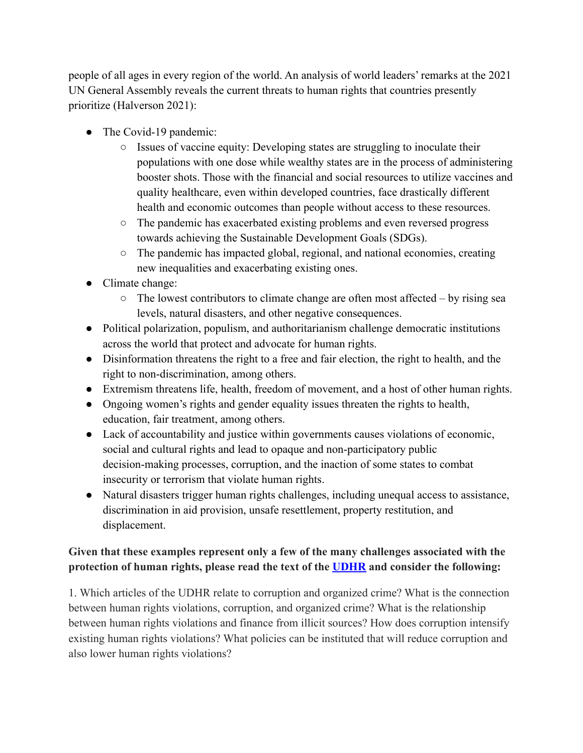people of all ages in every region of the world. An analysis of world leaders' remarks at the 2021 UN General Assembly reveals the current threats to human rights that countries presently prioritize (Halverson 2021):

- The Covid-19 pandemic:
	- Issues of vaccine equity: Developing states are struggling to inoculate their populations with one dose while wealthy states are in the process of administering booster shots. Those with the financial and social resources to utilize vaccines and quality healthcare, even within developed countries, face drastically different health and economic outcomes than people without access to these resources.
	- The pandemic has exacerbated existing problems and even reversed progress towards achieving the Sustainable Development Goals (SDGs).
	- The pandemic has impacted global, regional, and national economies, creating new inequalities and exacerbating existing ones.
- Climate change:
	- $\circ$  The lowest contributors to climate change are often most affected by rising sea levels, natural disasters, and other negative consequences.
- Political polarization, populism, and authoritarianism challenge democratic institutions across the world that protect and advocate for human rights.
- Disinformation threatens the right to a free and fair election, the right to health, and the right to non-discrimination, among others.
- Extremism threatens life, health, freedom of movement, and a host of other human rights.
- Ongoing women's rights and gender equality issues threaten the rights to health, education, fair treatment, among others.
- Lack of accountability and justice within governments causes violations of economic, social and cultural rights and lead to opaque and non-participatory public decision-making processes, corruption, and the inaction of some states to combat insecurity or terrorism that violate human rights.
- Natural disasters trigger human rights challenges, including unequal access to assistance, discrimination in aid provision, unsafe resettlement, property restitution, and displacement.

## **Given that these examples represent only a few of the many challenges associated with the protection of human rights, please read the text of the [UDHR](https://www.un.org/en/about-us/universal-declaration-of-human-rights) and consider the following:**

1. Which articles of the UDHR relate to corruption and organized crime? What is the connection between human rights violations, corruption, and organized crime? What is the relationship between human rights violations and finance from illicit sources? How does corruption intensify existing human rights violations? What policies can be instituted that will reduce corruption and also lower human rights violations?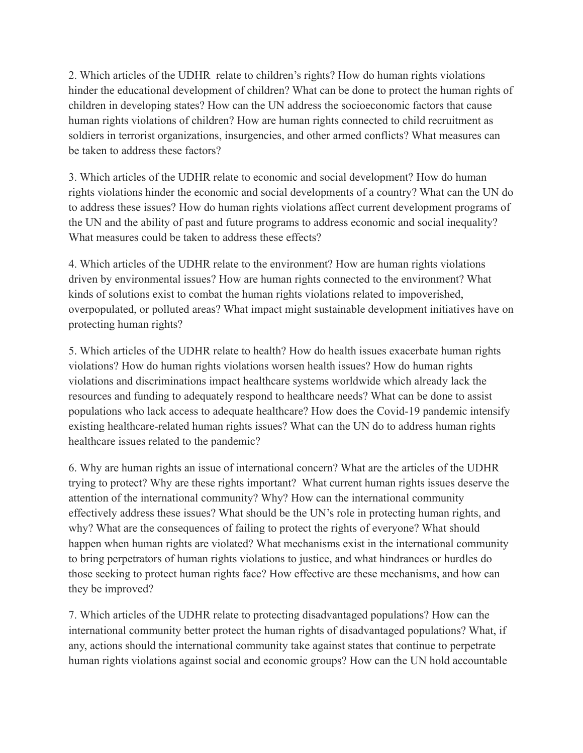2. Which articles of the UDHR relate to children's rights? How do human rights violations hinder the educational development of children? What can be done to protect the human rights of children in developing states? How can the UN address the socioeconomic factors that cause human rights violations of children? How are human rights connected to child recruitment as soldiers in terrorist organizations, insurgencies, and other armed conflicts? What measures can be taken to address these factors?

3. Which articles of the UDHR relate to economic and social development? How do human rights violations hinder the economic and social developments of a country? What can the UN do to address these issues? How do human rights violations affect current development programs of the UN and the ability of past and future programs to address economic and social inequality? What measures could be taken to address these effects?

4. Which articles of the UDHR relate to the environment? How are human rights violations driven by environmental issues? How are human rights connected to the environment? What kinds of solutions exist to combat the human rights violations related to impoverished, overpopulated, or polluted areas? What impact might sustainable development initiatives have on protecting human rights?

5. Which articles of the UDHR relate to health? How do health issues exacerbate human rights violations? How do human rights violations worsen health issues? How do human rights violations and discriminations impact healthcare systems worldwide which already lack the resources and funding to adequately respond to healthcare needs? What can be done to assist populations who lack access to adequate healthcare? How does the Covid-19 pandemic intensify existing healthcare-related human rights issues? What can the UN do to address human rights healthcare issues related to the pandemic?

6. Why are human rights an issue of international concern? What are the articles of the UDHR trying to protect? Why are these rights important? What current human rights issues deserve the attention of the international community? Why? How can the international community effectively address these issues? What should be the UN's role in protecting human rights, and why? What are the consequences of failing to protect the rights of everyone? What should happen when human rights are violated? What mechanisms exist in the international community to bring perpetrators of human rights violations to justice, and what hindrances or hurdles do those seeking to protect human rights face? How effective are these mechanisms, and how can they be improved?

7. Which articles of the UDHR relate to protecting disadvantaged populations? How can the international community better protect the human rights of disadvantaged populations? What, if any, actions should the international community take against states that continue to perpetrate human rights violations against social and economic groups? How can the UN hold accountable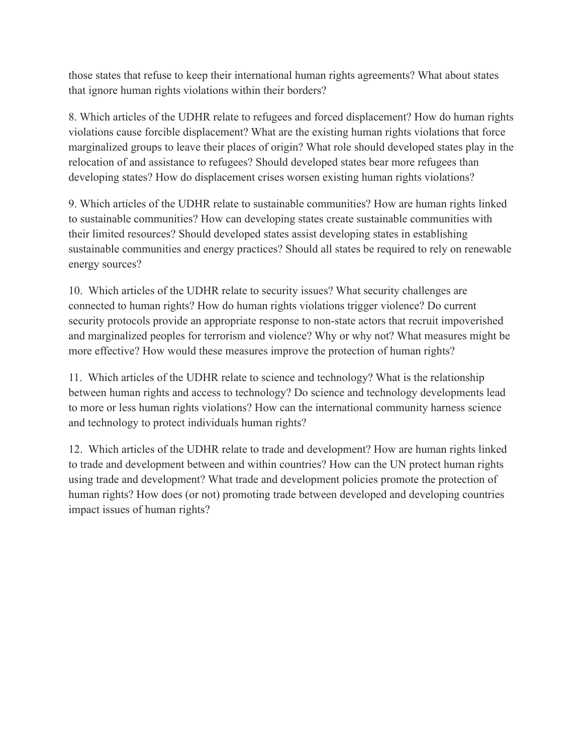those states that refuse to keep their international human rights agreements? What about states that ignore human rights violations within their borders?

8. Which articles of the UDHR relate to refugees and forced displacement? How do human rights violations cause forcible displacement? What are the existing human rights violations that force marginalized groups to leave their places of origin? What role should developed states play in the relocation of and assistance to refugees? Should developed states bear more refugees than developing states? How do displacement crises worsen existing human rights violations?

9. Which articles of the UDHR relate to sustainable communities? How are human rights linked to sustainable communities? How can developing states create sustainable communities with their limited resources? Should developed states assist developing states in establishing sustainable communities and energy practices? Should all states be required to rely on renewable energy sources?

10. Which articles of the UDHR relate to security issues? What security challenges are connected to human rights? How do human rights violations trigger violence? Do current security protocols provide an appropriate response to non-state actors that recruit impoverished and marginalized peoples for terrorism and violence? Why or why not? What measures might be more effective? How would these measures improve the protection of human rights?

11. Which articles of the UDHR relate to science and technology? What is the relationship between human rights and access to technology? Do science and technology developments lead to more or less human rights violations? How can the international community harness science and technology to protect individuals human rights?

12. Which articles of the UDHR relate to trade and development? How are human rights linked to trade and development between and within countries? How can the UN protect human rights using trade and development? What trade and development policies promote the protection of human rights? How does (or not) promoting trade between developed and developing countries impact issues of human rights?